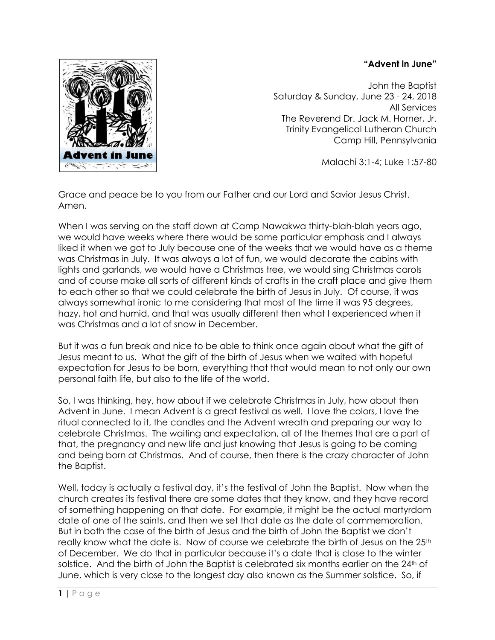## **"Advent in June"**



John the Baptist Saturday & Sunday, June 23 - 24, 2018 All Services The Reverend Dr. Jack M. Horner, Jr. Trinity Evangelical Lutheran Church Camp Hill, Pennsylvania

Malachi 3:1-4; Luke 1:57-80

Grace and peace be to you from our Father and our Lord and Savior Jesus Christ. Amen.

When I was serving on the staff down at Camp Nawakwa thirty-blah-blah years ago, we would have weeks where there would be some particular emphasis and I always liked it when we got to July because one of the weeks that we would have as a theme was Christmas in July. It was always a lot of fun, we would decorate the cabins with lights and garlands, we would have a Christmas tree, we would sing Christmas carols and of course make all sorts of different kinds of crafts in the craft place and give them to each other so that we could celebrate the birth of Jesus in July. Of course, it was always somewhat ironic to me considering that most of the time it was 95 degrees, hazy, hot and humid, and that was usually different then what I experienced when it was Christmas and a lot of snow in December.

But it was a fun break and nice to be able to think once again about what the gift of Jesus meant to us. What the gift of the birth of Jesus when we waited with hopeful expectation for Jesus to be born, everything that that would mean to not only our own personal faith life, but also to the life of the world.

So, I was thinking, hey, how about if we celebrate Christmas in July, how about then Advent in June. I mean Advent is a great festival as well. I love the colors, I love the ritual connected to it, the candles and the Advent wreath and preparing our way to celebrate Christmas. The waiting and expectation, all of the themes that are a part of that, the pregnancy and new life and just knowing that Jesus is going to be coming and being born at Christmas. And of course, then there is the crazy character of John the Baptist.

Well, today is actually a festival day, it's the festival of John the Baptist. Now when the church creates its festival there are some dates that they know, and they have record of something happening on that date. For example, it might be the actual martyrdom date of one of the saints, and then we set that date as the date of commemoration. But in both the case of the birth of Jesus and the birth of John the Baptist we don't really know what the date is. Now of course we celebrate the birth of Jesus on the 25<sup>th</sup> of December. We do that in particular because it's a date that is close to the winter solstice. And the birth of John the Baptist is celebrated six months earlier on the 24<sup>th</sup> of June, which is very close to the longest day also known as the Summer solstice. So, if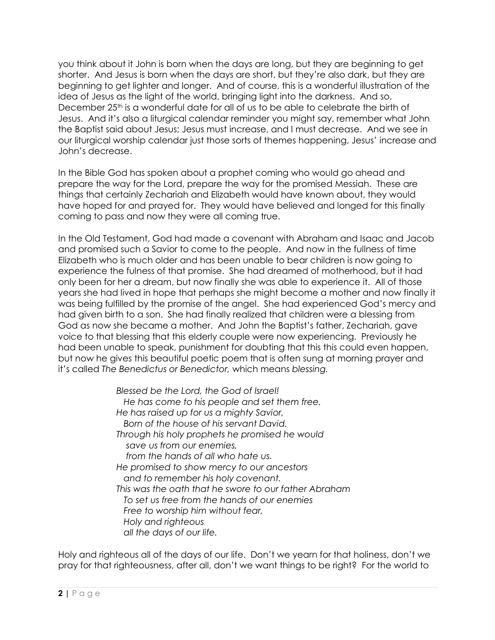you think about it John is born when the days are long, but they are beginning to get shorter. And Jesus is born when the days are short, but they're also dark, but they are beginning to get lighter and longer. And of course, this is a wonderful illustration of the idea of Jesus as the light of the world, bringing light into the darkness. And so, December 25th is a wonderful date for all of us to be able to celebrate the birth of Jesus. And it's also a liturgical calendar reminder you might say, remember what John the Baptist said about Jesus; Jesus must increase, and I must decrease. And we see in our liturgical worship calendar just those sorts of themes happening, Jesus' increase and John's decrease.

In the Bible God has spoken about a prophet coming who would go ahead and prepare the way for the Lord, prepare the way for the promised Messiah. These are things that certainly Zechariah and Elizabeth would have known about, they would have hoped for and prayed for. They would have believed and longed for this finally coming to pass and now they were all coming true.

In the Old Testament, God had made a covenant with Abraham and Isaac and Jacob and promised such a Savior to come to the people. And now in the fullness of time Elizabeth who is much older and has been unable to bear children is now going to experience the fulness of that promise. She had dreamed of motherhood, but it had only been for her a dream, but now finally she was able to experience it. All of those years she had lived in hope that perhaps she might become a mother and now finally it was being fulfilled by the promise of the angel. She had experienced God's mercy and had given birth to a son. She had finally realized that children were a blessing from God as now she became a mother. And John the Baptist's father, Zechariah, gave voice to that blessing that this elderly couple were now experiencing. Previously he had been unable to speak, punishment for doubting that this this could even happen, but now he gives this beautiful poetic poem that is often sung at morning prayer and it's called *The Benedictus or Benedictor,* which means *blessing.*

> *Blessed be the Lord, the God of Israel! He has come to his people and set them free. He has raised up for us a mighty Savior, Born of the house of his servant David. Through his holy prophets he promised he would save us from our enemies, from the hands of all who hate us. He promised to show mercy to our ancestors and to remember his holy covenant. This was the oath that he swore to our father Abraham To set us free from the hands of our enemies Free to worship him without fear, Holy and righteous all the days of our life.*

Holy and righteous all of the days of our life. Don't we yearn for that holiness, don't we pray for that righteousness, after all, don't we want things to be right? For the world to